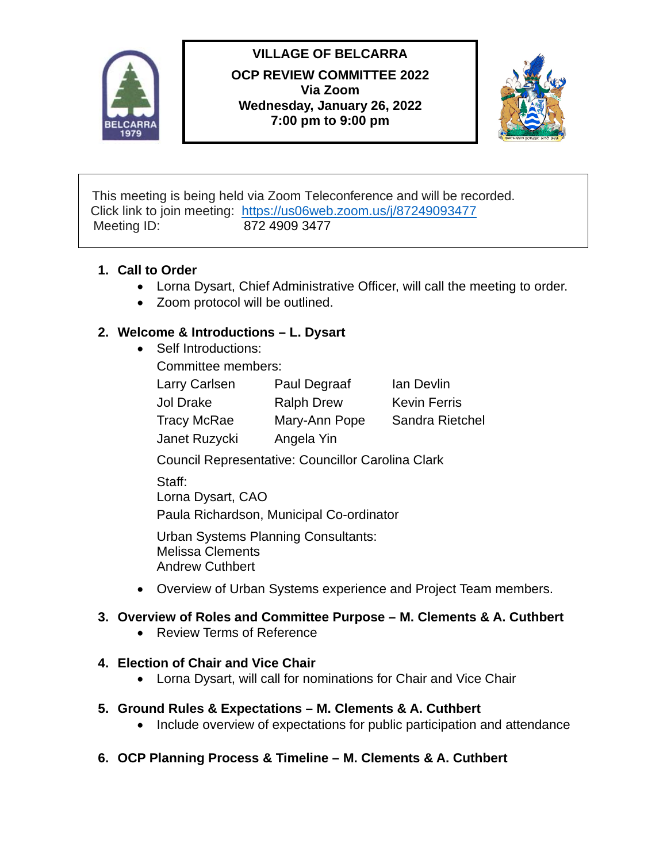

# **VILLAGE OF BELCARRA**

**OCP REVIEW COMMITTEE 2022 Via Zoom Wednesday, January 26, 2022 7:00 pm to 9:00 pm** 



This meeting is being held via Zoom Teleconference and will be recorded. Click link to join meeting: <https://us06web.zoom.us/j/87249093477> Meeting ID: 872 4909 3477

### **1. Call to Order**

- Lorna Dysart, Chief Administrative Officer, will call the meeting to order.
- Zoom protocol will be outlined.

## **2. Welcome & Introductions – L. Dysart**

• Self Introductions:

Committee members:

| <b>Larry Carlsen</b> | <b>Paul Degraaf</b> | lan Devlin          |
|----------------------|---------------------|---------------------|
| Jol Drake            | <b>Ralph Drew</b>   | <b>Kevin Ferris</b> |
| <b>Tracy McRae</b>   | Mary-Ann Pope       | Sandra Rietchel     |
| Janet Ruzycki        | Angela Yin          |                     |

Council Representative: Councillor Carolina Clark

Staff: Lorna Dysart, CAO

Paula Richardson, Municipal Co-ordinator

Urban Systems Planning Consultants: Melissa Clements Andrew Cuthbert

• Overview of Urban Systems experience and Project Team members.

### **3. Overview of Roles and Committee Purpose – M. Clements & A. Cuthbert**

• Review Terms of Reference

### **4. Election of Chair and Vice Chair**

• Lorna Dysart, will call for nominations for Chair and Vice Chair

### **5. Ground Rules & Expectations – M. Clements & A. Cuthbert**

- Include overview of expectations for public participation and attendance
- **6. OCP Planning Process & Timeline – M. Clements & A. Cuthbert**